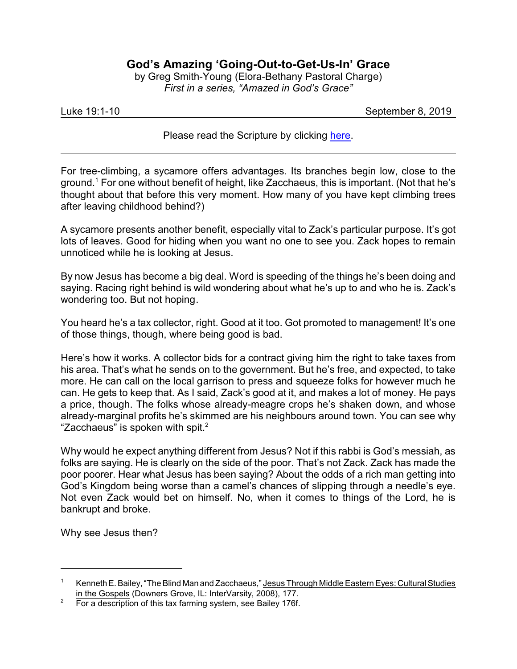## **God's Amazing 'Going-Out-to-Get-Us-In' Grace**

by Greg Smith-Young (Elora-Bethany Pastoral Charge) *First in a series, "Amazed in God's Grace"*

Luke 19:1-10 September 8, 2019

Please read the Scripture by clicking [here](https://www.biblegateway.com/passage/?search=Luke+19%3A1-10&version=CEB).

For tree-climbing, a sycamore offers advantages. Its branches begin low, close to the ground.<sup>1</sup> For one without benefit of height, like Zacchaeus, this is important. (Not that he's thought about that before this very moment. How many of you have kept climbing trees after leaving childhood behind?)

A sycamore presents another benefit, especially vital to Zack's particular purpose. It's got lots of leaves. Good for hiding when you want no one to see you. Zack hopes to remain unnoticed while he is looking at Jesus.

By now Jesus has become a big deal. Word is speeding of the things he's been doing and saying. Racing right behind is wild wondering about what he's up to and who he is. Zack's wondering too. But not hoping.

You heard he's a tax collector, right. Good at it too. Got promoted to management! It's one of those things, though, where being good is bad.

Here's how it works. A collector bids for a contract giving him the right to take taxes from his area. That's what he sends on to the government. But he's free, and expected, to take more. He can call on the local garrison to press and squeeze folks for however much he can. He gets to keep that. As I said, Zack's good at it, and makes a lot of money. He pays a price, though. The folks whose already-meagre crops he's shaken down, and whose already-marginal profits he's skimmed are his neighbours around town. You can see why "Zacchaeus" is spoken with spit. $2$ 

Why would he expect anything different from Jesus? Not if this rabbi is God's messiah, as folks are saying. He is clearly on the side of the poor. That's not Zack. Zack has made the poor poorer. Hear what Jesus has been saying? About the odds of a rich man getting into God's Kingdom being worse than a camel's chances of slipping through a needle's eye. Not even Zack would bet on himself. No, when it comes to things of the Lord, he is bankrupt and broke.

Why see Jesus then?

<sup>1</sup> Kenneth E. Bailey, "The Blind Man and Zacchaeus," Jesus Through Middle Eastern Eyes: CulturalStudies in the Gospels (Downers Grove, IL: InterVarsity, 2008), 177.

<sup>&</sup>lt;sup>2</sup> For a description of this tax farming system, see Bailey 176f.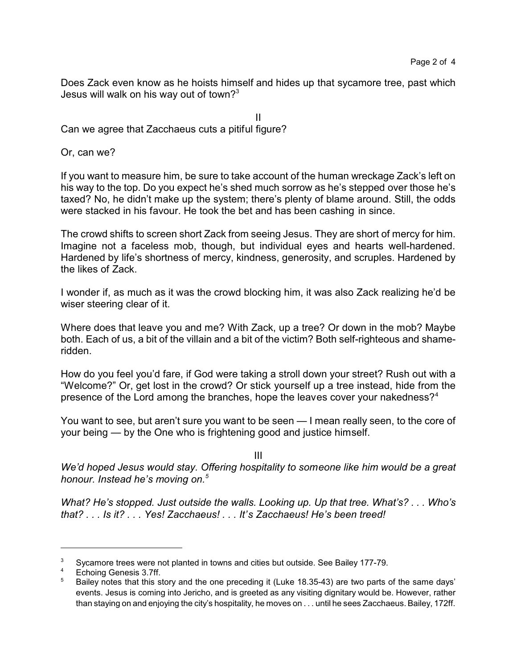Does Zack even know as he hoists himself and hides up that sycamore tree, past which Jesus will walk on his way out of town? $3^3$ 

II

Can we agree that Zacchaeus cuts a pitiful figure?

Or, can we?

If you want to measure him, be sure to take account of the human wreckage Zack's left on his way to the top. Do you expect he's shed much sorrow as he's stepped over those he's taxed? No, he didn't make up the system; there's plenty of blame around. Still, the odds were stacked in his favour. He took the bet and has been cashing in since.

The crowd shifts to screen short Zack from seeing Jesus. They are short of mercy for him. Imagine not a faceless mob, though, but individual eyes and hearts well-hardened. Hardened by life's shortness of mercy, kindness, generosity, and scruples. Hardened by the likes of Zack.

I wonder if, as much as it was the crowd blocking him, it was also Zack realizing he'd be wiser steering clear of it.

Where does that leave you and me? With Zack, up a tree? Or down in the mob? Maybe both. Each of us, a bit of the villain and a bit of the victim? Both self-righteous and shameridden.

How do you feel you'd fare, if God were taking a stroll down your street? Rush out with a "Welcome?" Or, get lost in the crowd? Or stick yourself up a tree instead, hide from the presence of the Lord among the branches, hope the leaves cover your nakedness?<sup>4</sup>

You want to see, but aren't sure you want to be seen — I mean really seen, to the core of your being — by the One who is frightening good and justice himself.

III

*We'd hoped Jesus would stay. Offering hospitality to someone like him would be a great honour. Instead he's moving on.<sup>5</sup>*

*What? He's stopped. Just outside the walls. Looking up. Up that tree. What's? . . . Who's that? . . . Is it? . . . Yes! Zacchaeus! . . . It's Zacchaeus! He's been treed!*

 $3$  Sycamore trees were not planted in towns and cities but outside. See Bailey 177-79.

Echoing Genesis 3.7ff.

<sup>5</sup> Bailey notes that this story and the one preceding it (Luke 18.35-43) are two parts of the same days' events. Jesus is coming into Jericho, and is greeted as any visiting dignitary would be. However, rather than staying on and enjoying the city's hospitality, he moves on . . . until he sees Zacchaeus. Bailey, 172ff.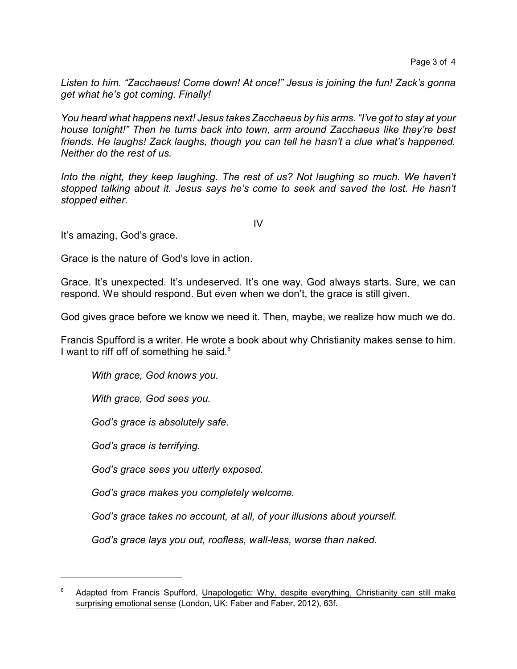*Listen to him. "Zacchaeus! Come down! At once!" Jesus is joining the fun! Zack's gonna get what he's got coming. Finally!*

*You heard what happens next! Jesus takes Zacchaeus by his arms. "I've got to stay at your house tonight!" Then he turns back into town, arm around Zacchaeus like they're best friends. He laughs! Zack laughs, though you can tell he hasn't a clue what's happened. Neither do the rest of us.*

*Into the night, they keep laughing. The rest of us? Not laughing so much. We haven't stopped talking about it. Jesus says he's come to seek and saved the lost. He hasn't stopped either.*

It's amazing, God's grace.

Grace is the nature of God's love in action.

Grace. It's unexpected. It's undeserved. It's one way. God always starts. Sure, we can respond. We should respond. But even when we don't, the grace is still given.

God gives grace before we know we need it. Then, maybe, we realize how much we do.

Francis Spufford is a writer. He wrote a book about why Christianity makes sense to him. I want to riff off of something he said.<sup>6</sup>

*With grace, God knows you.*

*With grace, God sees you.*

*God's grace is absolutely safe.*

*God's grace is terrifying.*

*God's grace sees you utterly exposed.*

*God's grace makes you completely welcome.*

*God's grace takes no account, at all, of your illusions about yourself.* 

*God's grace lays you out, roofless, wall-less, worse than naked.*

IV

Adapted from Francis Spufford, Unapologetic: Why, despite everything, Christianity can still make surprising emotional sense (London, UK: Faber and Faber, 2012), 63f.